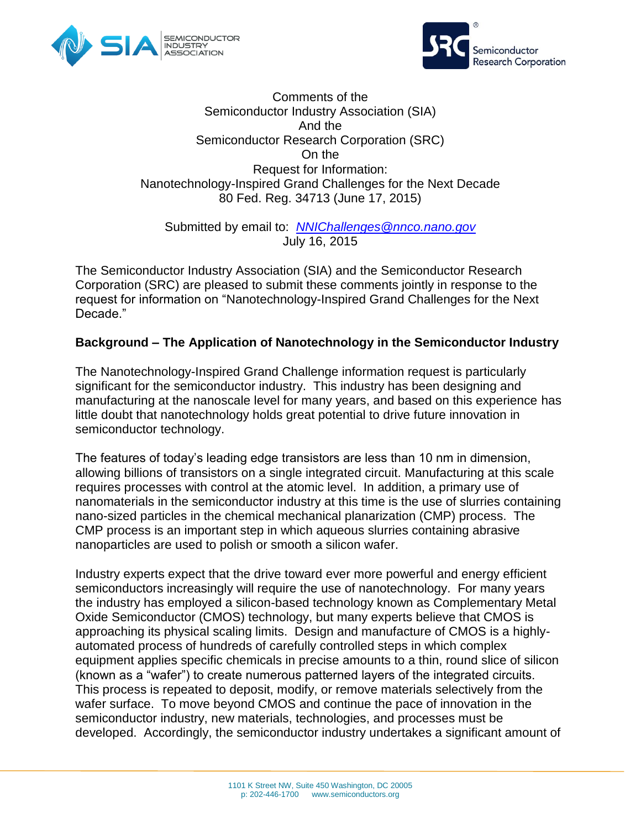



#### Comments of the Semiconductor Industry Association (SIA) And the Semiconductor Research Corporation (SRC) On the Request for Information: Nanotechnology-Inspired Grand Challenges for the Next Decade 80 Fed. Reg. 34713 (June 17, 2015)

Submitted by email to: *[NNIChallenges@nnco.nano.gov](mailto:NNIChallenges@nnco.nano.gov)* July 16, 2015

The Semiconductor Industry Association (SIA) and the Semiconductor Research Corporation (SRC) are pleased to submit these comments jointly in response to the request for information on "Nanotechnology-Inspired Grand Challenges for the Next Decade."

# **Background – The Application of Nanotechnology in the Semiconductor Industry**

The Nanotechnology-Inspired Grand Challenge information request is particularly significant for the semiconductor industry. This industry has been designing and manufacturing at the nanoscale level for many years, and based on this experience has little doubt that nanotechnology holds great potential to drive future innovation in semiconductor technology.

The features of today's leading edge transistors are less than 10 nm in dimension, allowing billions of transistors on a single integrated circuit. Manufacturing at this scale requires processes with control at the atomic level. In addition, a primary use of nanomaterials in the semiconductor industry at this time is the use of slurries containing nano-sized particles in the chemical mechanical planarization (CMP) process. The CMP process is an important step in which aqueous slurries containing abrasive nanoparticles are used to polish or smooth a silicon wafer.

Industry experts expect that the drive toward ever more powerful and energy efficient semiconductors increasingly will require the use of nanotechnology. For many years the industry has employed a silicon-based technology known as Complementary Metal Oxide Semiconductor (CMOS) technology, but many experts believe that CMOS is approaching its physical scaling limits. Design and manufacture of CMOS is a highlyautomated process of hundreds of carefully controlled steps in which complex equipment applies specific chemicals in precise amounts to a thin, round slice of silicon (known as a "wafer") to create numerous patterned layers of the integrated circuits. This process is repeated to deposit, modify, or remove materials selectively from the wafer surface. To move beyond CMOS and continue the pace of innovation in the semiconductor industry, new materials, technologies, and processes must be developed. Accordingly, the semiconductor industry undertakes a significant amount of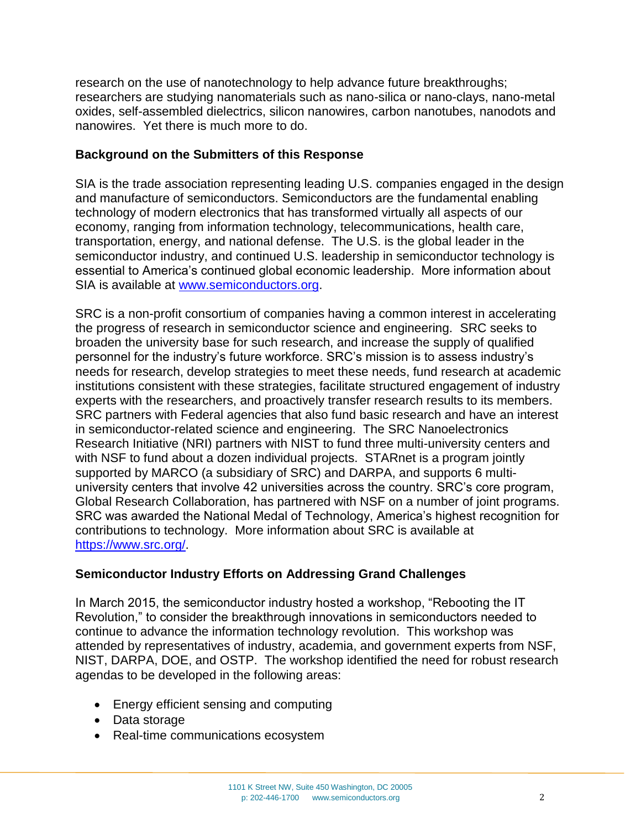research on the use of nanotechnology to help advance future breakthroughs; researchers are studying nanomaterials such as nano-silica or nano-clays, nano-metal oxides, self-assembled dielectrics, silicon nanowires, carbon nanotubes, nanodots and nanowires. Yet there is much more to do.

## **Background on the Submitters of this Response**

SIA is the trade association representing leading U.S. companies engaged in the design and manufacture of semiconductors. Semiconductors are the fundamental enabling technology of modern electronics that has transformed virtually all aspects of our economy, ranging from information technology, telecommunications, health care, transportation, energy, and national defense. The U.S. is the global leader in the semiconductor industry, and continued U.S. leadership in semiconductor technology is essential to America's continued global economic leadership. More information about SIA is available at [www.semiconductors.org.](http://www.semiconductors.org/)

SRC is a non-profit consortium of companies having a common interest in accelerating the progress of research in semiconductor science and engineering. SRC seeks to broaden the university base for such research, and increase the supply of qualified personnel for the industry's future workforce. SRC's mission is to assess industry's needs for research, develop strategies to meet these needs, fund research at academic institutions consistent with these strategies, facilitate structured engagement of industry experts with the researchers, and proactively transfer research results to its members. SRC partners with Federal agencies that also fund basic research and have an interest in semiconductor-related science and engineering. The SRC Nanoelectronics Research Initiative (NRI) partners with NIST to fund three multi-university centers and with NSF to fund about a dozen individual projects. STARnet is a program jointly supported by MARCO (a subsidiary of SRC) and DARPA, and supports 6 multiuniversity centers that involve 42 universities across the country. SRC's core program, Global Research Collaboration, has partnered with NSF on a number of joint programs. SRC was awarded the National Medal of Technology, America's highest recognition for contributions to technology. More information about SRC is available at [https://www.src.org/.](https://www.src.org/)

# **Semiconductor Industry Efforts on Addressing Grand Challenges**

In March 2015, the semiconductor industry hosted a workshop, "Rebooting the IT Revolution," to consider the breakthrough innovations in semiconductors needed to continue to advance the information technology revolution. This workshop was attended by representatives of industry, academia, and government experts from NSF, NIST, DARPA, DOE, and OSTP. The workshop identified the need for robust research agendas to be developed in the following areas:

- Energy efficient sensing and computing
- Data storage
- Real-time communications ecosystem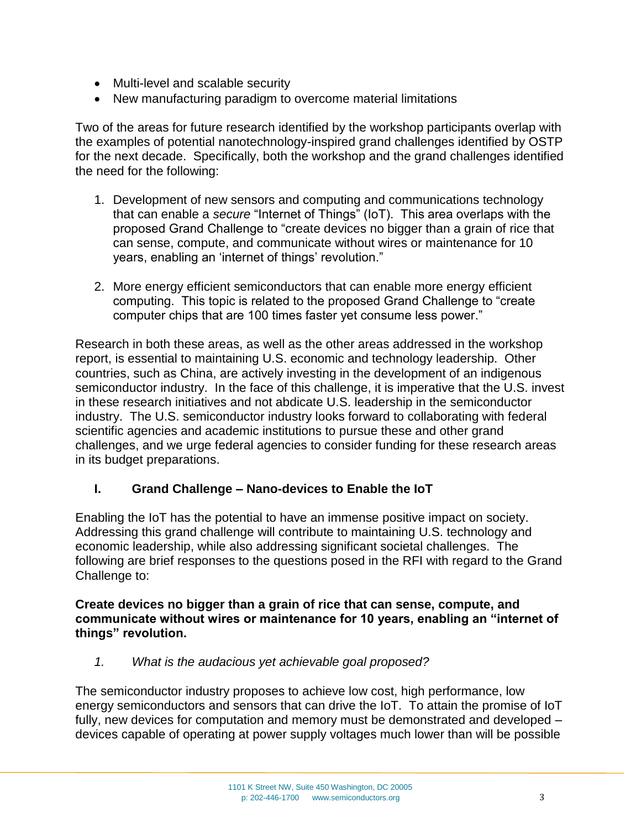- Multi-level and scalable security
- New manufacturing paradigm to overcome material limitations

Two of the areas for future research identified by the workshop participants overlap with the examples of potential nanotechnology-inspired grand challenges identified by OSTP for the next decade. Specifically, both the workshop and the grand challenges identified the need for the following:

- 1. Development of new sensors and computing and communications technology that can enable a *secure* "Internet of Things" (IoT). This area overlaps with the proposed Grand Challenge to "create devices no bigger than a grain of rice that can sense, compute, and communicate without wires or maintenance for 10 years, enabling an 'internet of things' revolution."
- 2. More energy efficient semiconductors that can enable more energy efficient computing. This topic is related to the proposed Grand Challenge to "create computer chips that are 100 times faster yet consume less power."

Research in both these areas, as well as the other areas addressed in the workshop report, is essential to maintaining U.S. economic and technology leadership. Other countries, such as China, are actively investing in the development of an indigenous semiconductor industry. In the face of this challenge, it is imperative that the U.S. invest in these research initiatives and not abdicate U.S. leadership in the semiconductor industry. The U.S. semiconductor industry looks forward to collaborating with federal scientific agencies and academic institutions to pursue these and other grand challenges, and we urge federal agencies to consider funding for these research areas in its budget preparations.

#### **I. Grand Challenge – Nano-devices to Enable the IoT**

Enabling the IoT has the potential to have an immense positive impact on society. Addressing this grand challenge will contribute to maintaining U.S. technology and economic leadership, while also addressing significant societal challenges. The following are brief responses to the questions posed in the RFI with regard to the Grand Challenge to:

#### **Create devices no bigger than a grain of rice that can sense, compute, and communicate without wires or maintenance for 10 years, enabling an "internet of things" revolution.**

*1. What is the audacious yet achievable goal proposed?*

The semiconductor industry proposes to achieve low cost, high performance, low energy semiconductors and sensors that can drive the IoT. To attain the promise of IoT fully, new devices for computation and memory must be demonstrated and developed – devices capable of operating at power supply voltages much lower than will be possible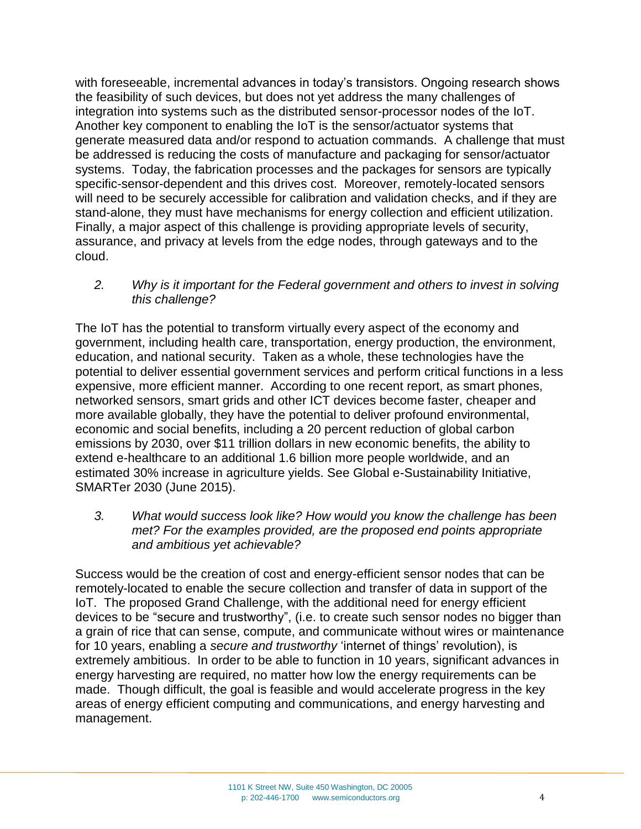with foreseeable, incremental advances in today's transistors. Ongoing research shows the feasibility of such devices, but does not yet address the many challenges of integration into systems such as the distributed sensor-processor nodes of the IoT. Another key component to enabling the IoT is the sensor/actuator systems that generate measured data and/or respond to actuation commands. A challenge that must be addressed is reducing the costs of manufacture and packaging for sensor/actuator systems. Today, the fabrication processes and the packages for sensors are typically specific-sensor-dependent and this drives cost. Moreover, remotely-located sensors will need to be securely accessible for calibration and validation checks, and if they are stand-alone, they must have mechanisms for energy collection and efficient utilization. Finally, a major aspect of this challenge is providing appropriate levels of security, assurance, and privacy at levels from the edge nodes, through gateways and to the cloud.

*2. Why is it important for the Federal government and others to invest in solving this challenge?*

The IoT has the potential to transform virtually every aspect of the economy and government, including health care, transportation, energy production, the environment, education, and national security. Taken as a whole, these technologies have the potential to deliver essential government services and perform critical functions in a less expensive, more efficient manner. According to one recent report, as smart phones, networked sensors, smart grids and other ICT devices become faster, cheaper and more available globally, they have the potential to deliver profound environmental, economic and social benefits, including a 20 percent reduction of global carbon emissions by 2030, over \$11 trillion dollars in new economic benefits, the ability to extend e-healthcare to an additional 1.6 billion more people worldwide, and an estimated 30% increase in agriculture yields. See Global e-Sustainability Initiative, SMARTer 2030 (June 2015).

*3. What would success look like? How would you know the challenge has been met? For the examples provided, are the proposed end points appropriate and ambitious yet achievable?*

Success would be the creation of cost and energy-efficient sensor nodes that can be remotely-located to enable the secure collection and transfer of data in support of the IoT. The proposed Grand Challenge, with the additional need for energy efficient devices to be "secure and trustworthy", (i.e. to create such sensor nodes no bigger than a grain of rice that can sense, compute, and communicate without wires or maintenance for 10 years, enabling a *secure and trustworthy* 'internet of things' revolution), is extremely ambitious. In order to be able to function in 10 years, significant advances in energy harvesting are required, no matter how low the energy requirements can be made. Though difficult, the goal is feasible and would accelerate progress in the key areas of energy efficient computing and communications, and energy harvesting and management.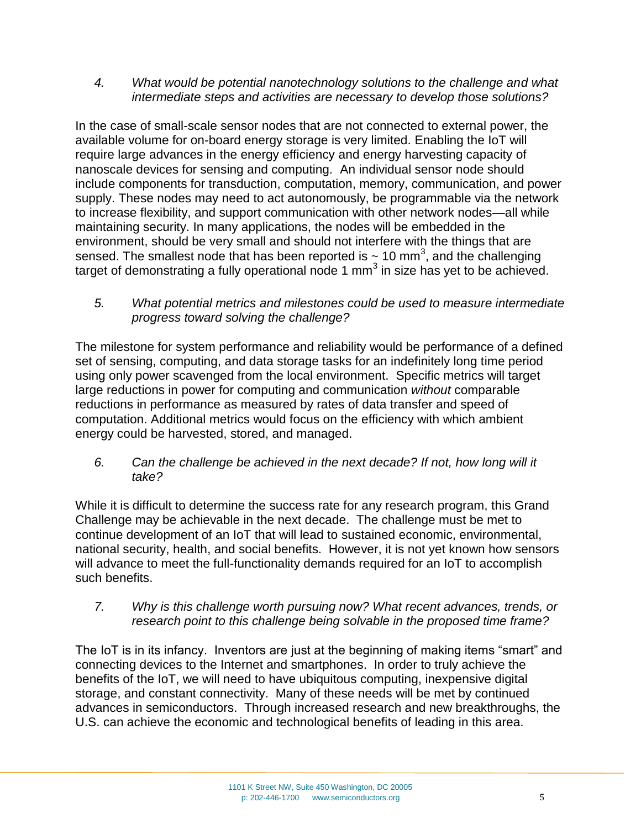*4. What would be potential nanotechnology solutions to the challenge and what intermediate steps and activities are necessary to develop those solutions?*

In the case of small-scale sensor nodes that are not connected to external power, the available volume for on-board energy storage is very limited. Enabling the IoT will require large advances in the energy efficiency and energy harvesting capacity of nanoscale devices for sensing and computing. An individual sensor node should include components for transduction, computation, memory, communication, and power supply. These nodes may need to act autonomously, be programmable via the network to increase flexibility, and support communication with other network nodes—all while maintaining security. In many applications, the nodes will be embedded in the environment, should be very small and should not interfere with the things that are sensed. The smallest node that has been reported is  $\sim$  10 mm<sup>3</sup>, and the challenging target of demonstrating a fully operational node 1 mm<sup>3</sup> in size has yet to be achieved.

*5. What potential metrics and milestones could be used to measure intermediate progress toward solving the challenge?*

The milestone for system performance and reliability would be performance of a defined set of sensing, computing, and data storage tasks for an indefinitely long time period using only power scavenged from the local environment. Specific metrics will target large reductions in power for computing and communication *without* comparable reductions in performance as measured by rates of data transfer and speed of computation. Additional metrics would focus on the efficiency with which ambient energy could be harvested, stored, and managed.

*6. Can the challenge be achieved in the next decade? If not, how long will it take?*

While it is difficult to determine the success rate for any research program, this Grand Challenge may be achievable in the next decade. The challenge must be met to continue development of an IoT that will lead to sustained economic, environmental, national security, health, and social benefits. However, it is not yet known how sensors will advance to meet the full-functionality demands required for an IoT to accomplish such benefits.

*7. Why is this challenge worth pursuing now? What recent advances, trends, or research point to this challenge being solvable in the proposed time frame?*

The IoT is in its infancy. Inventors are just at the beginning of making items "smart" and connecting devices to the Internet and smartphones. In order to truly achieve the benefits of the IoT, we will need to have ubiquitous computing, inexpensive digital storage, and constant connectivity. Many of these needs will be met by continued advances in semiconductors. Through increased research and new breakthroughs, the U.S. can achieve the economic and technological benefits of leading in this area.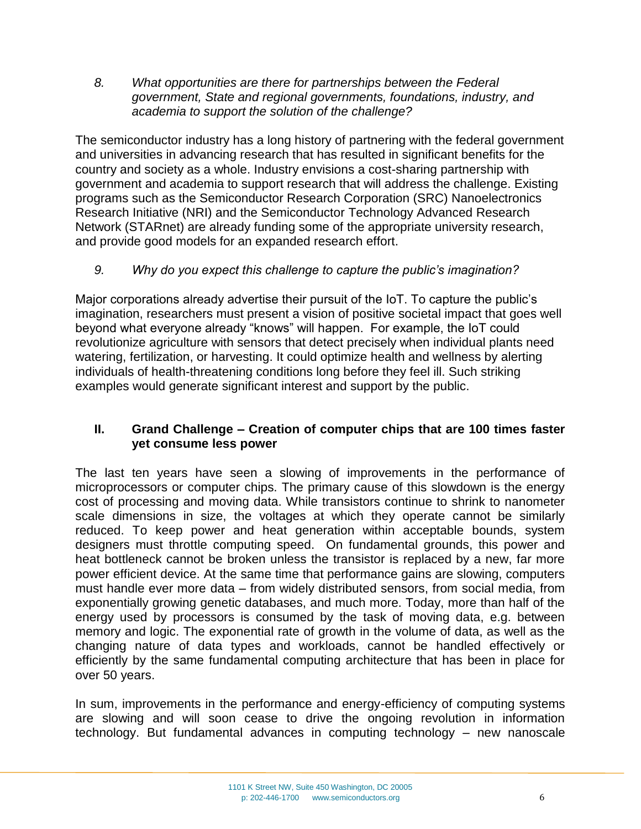*8. What opportunities are there for partnerships between the Federal government, State and regional governments, foundations, industry, and academia to support the solution of the challenge?*

The semiconductor industry has a long history of partnering with the federal government and universities in advancing research that has resulted in significant benefits for the country and society as a whole. Industry envisions a cost-sharing partnership with government and academia to support research that will address the challenge. Existing programs such as the Semiconductor Research Corporation (SRC) Nanoelectronics Research Initiative (NRI) and the Semiconductor Technology Advanced Research Network (STARnet) are already funding some of the appropriate university research, and provide good models for an expanded research effort.

# *9. Why do you expect this challenge to capture the public's imagination?*

Major corporations already advertise their pursuit of the IoT. To capture the public's imagination, researchers must present a vision of positive societal impact that goes well beyond what everyone already "knows" will happen. For example, the IoT could revolutionize agriculture with sensors that detect precisely when individual plants need watering, fertilization, or harvesting. It could optimize health and wellness by alerting individuals of health-threatening conditions long before they feel ill. Such striking examples would generate significant interest and support by the public.

## **II. Grand Challenge – Creation of computer chips that are 100 times faster yet consume less power**

The last ten years have seen a slowing of improvements in the performance of microprocessors or computer chips. The primary cause of this slowdown is the energy cost of processing and moving data. While transistors continue to shrink to nanometer scale dimensions in size, the voltages at which they operate cannot be similarly reduced. To keep power and heat generation within acceptable bounds, system designers must throttle computing speed. On fundamental grounds, this power and heat bottleneck cannot be broken unless the transistor is replaced by a new, far more power efficient device. At the same time that performance gains are slowing, computers must handle ever more data – from widely distributed sensors, from social media, from exponentially growing genetic databases, and much more. Today, more than half of the energy used by processors is consumed by the task of moving data, e.g. between memory and logic. The exponential rate of growth in the volume of data, as well as the changing nature of data types and workloads, cannot be handled effectively or efficiently by the same fundamental computing architecture that has been in place for over 50 years.

In sum, improvements in the performance and energy-efficiency of computing systems are slowing and will soon cease to drive the ongoing revolution in information technology. But fundamental advances in computing technology – new nanoscale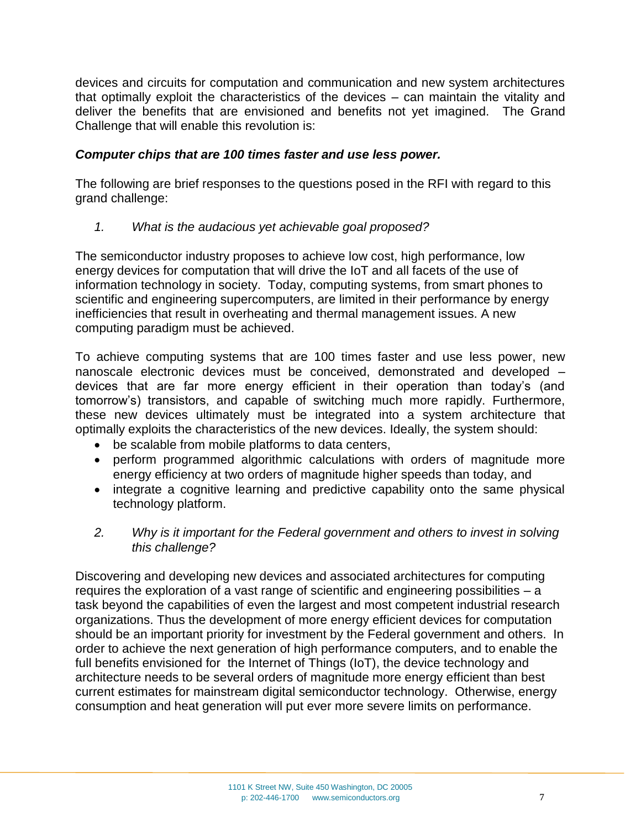devices and circuits for computation and communication and new system architectures that optimally exploit the characteristics of the devices – can maintain the vitality and deliver the benefits that are envisioned and benefits not yet imagined. The Grand Challenge that will enable this revolution is:

## *Computer chips that are 100 times faster and use less power.*

The following are brief responses to the questions posed in the RFI with regard to this grand challenge:

*1. What is the audacious yet achievable goal proposed?*

The semiconductor industry proposes to achieve low cost, high performance, low energy devices for computation that will drive the IoT and all facets of the use of information technology in society. Today, computing systems, from smart phones to scientific and engineering supercomputers, are limited in their performance by energy inefficiencies that result in overheating and thermal management issues. A new computing paradigm must be achieved.

To achieve computing systems that are 100 times faster and use less power, new nanoscale electronic devices must be conceived, demonstrated and developed – devices that are far more energy efficient in their operation than today's (and tomorrow's) transistors, and capable of switching much more rapidly. Furthermore, these new devices ultimately must be integrated into a system architecture that optimally exploits the characteristics of the new devices. Ideally, the system should:

- be scalable from mobile platforms to data centers,
- perform programmed algorithmic calculations with orders of magnitude more energy efficiency at two orders of magnitude higher speeds than today, and
- integrate a cognitive learning and predictive capability onto the same physical technology platform.
- *2. Why is it important for the Federal government and others to invest in solving this challenge?*

Discovering and developing new devices and associated architectures for computing requires the exploration of a vast range of scientific and engineering possibilities – a task beyond the capabilities of even the largest and most competent industrial research organizations. Thus the development of more energy efficient devices for computation should be an important priority for investment by the Federal government and others. In order to achieve the next generation of high performance computers, and to enable the full benefits envisioned for the Internet of Things (IoT), the device technology and architecture needs to be several orders of magnitude more energy efficient than best current estimates for mainstream digital semiconductor technology. Otherwise, energy consumption and heat generation will put ever more severe limits on performance.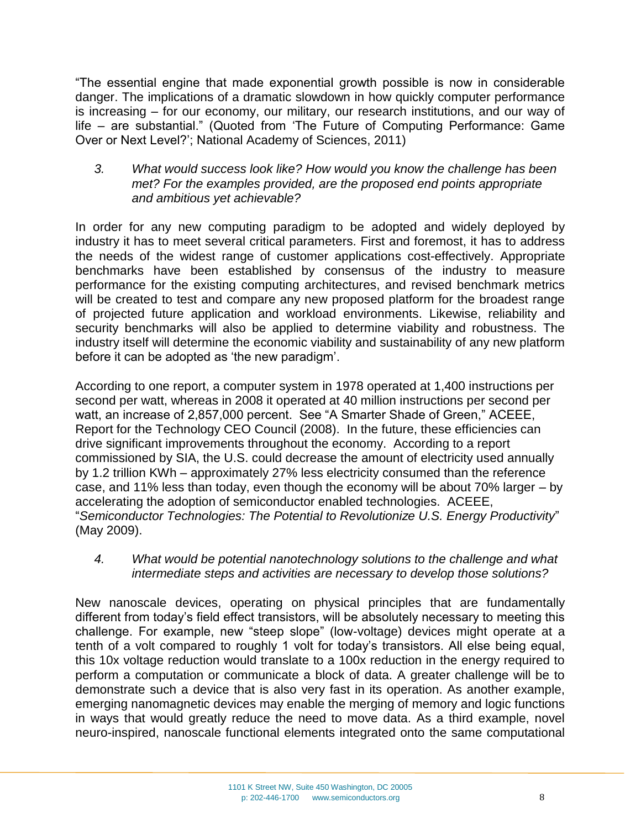"The essential engine that made exponential growth possible is now in considerable danger. The implications of a dramatic slowdown in how quickly computer performance is increasing – for our economy, our military, our research institutions, and our way of life – are substantial." (Quoted from 'The Future of Computing Performance: Game Over or Next Level?'; National Academy of Sciences, 2011)

#### *3. What would success look like? How would you know the challenge has been met? For the examples provided, are the proposed end points appropriate and ambitious yet achievable?*

In order for any new computing paradigm to be adopted and widely deployed by industry it has to meet several critical parameters. First and foremost, it has to address the needs of the widest range of customer applications cost-effectively. Appropriate benchmarks have been established by consensus of the industry to measure performance for the existing computing architectures, and revised benchmark metrics will be created to test and compare any new proposed platform for the broadest range of projected future application and workload environments. Likewise, reliability and security benchmarks will also be applied to determine viability and robustness. The industry itself will determine the economic viability and sustainability of any new platform before it can be adopted as 'the new paradigm'.

According to one report, a computer system in 1978 operated at 1,400 instructions per second per watt, whereas in 2008 it operated at 40 million instructions per second per watt, an increase of 2,857,000 percent. See "A Smarter Shade of Green," ACEEE, Report for the Technology CEO Council (2008). In the future, these efficiencies can drive significant improvements throughout the economy. According to a report commissioned by SIA, the U.S. could decrease the amount of electricity used annually by 1.2 trillion KWh – approximately 27% less electricity consumed than the reference case, and 11% less than today, even though the economy will be about 70% larger – by accelerating the adoption of semiconductor enabled technologies. ACEEE, "*Semiconductor Technologies: The Potential to Revolutionize U.S. Energy Productivity*" (May 2009).

## *4. What would be potential nanotechnology solutions to the challenge and what intermediate steps and activities are necessary to develop those solutions?*

New nanoscale devices, operating on physical principles that are fundamentally different from today's field effect transistors, will be absolutely necessary to meeting this challenge. For example, new "steep slope" (low-voltage) devices might operate at a tenth of a volt compared to roughly 1 volt for today's transistors. All else being equal, this 10x voltage reduction would translate to a 100x reduction in the energy required to perform a computation or communicate a block of data. A greater challenge will be to demonstrate such a device that is also very fast in its operation. As another example, emerging nanomagnetic devices may enable the merging of memory and logic functions in ways that would greatly reduce the need to move data. As a third example, novel neuro-inspired, nanoscale functional elements integrated onto the same computational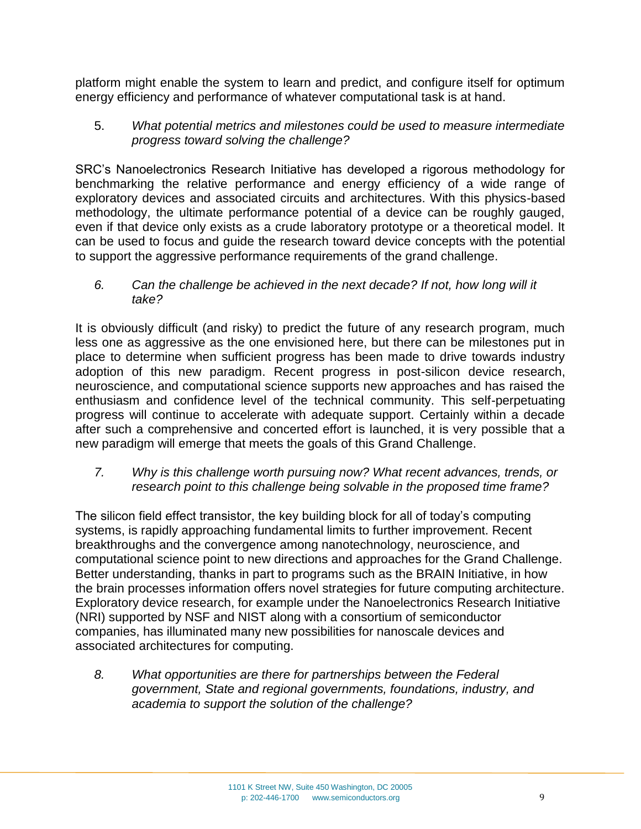platform might enable the system to learn and predict, and configure itself for optimum energy efficiency and performance of whatever computational task is at hand.

5. *What potential metrics and milestones could be used to measure intermediate progress toward solving the challenge?*

SRC's Nanoelectronics Research Initiative has developed a rigorous methodology for benchmarking the relative performance and energy efficiency of a wide range of exploratory devices and associated circuits and architectures. With this physics-based methodology, the ultimate performance potential of a device can be roughly gauged, even if that device only exists as a crude laboratory prototype or a theoretical model. It can be used to focus and guide the research toward device concepts with the potential to support the aggressive performance requirements of the grand challenge.

*6. Can the challenge be achieved in the next decade? If not, how long will it take?*

It is obviously difficult (and risky) to predict the future of any research program, much less one as aggressive as the one envisioned here, but there can be milestones put in place to determine when sufficient progress has been made to drive towards industry adoption of this new paradigm. Recent progress in post-silicon device research, neuroscience, and computational science supports new approaches and has raised the enthusiasm and confidence level of the technical community. This self-perpetuating progress will continue to accelerate with adequate support. Certainly within a decade after such a comprehensive and concerted effort is launched, it is very possible that a new paradigm will emerge that meets the goals of this Grand Challenge.

*7. Why is this challenge worth pursuing now? What recent advances, trends, or research point to this challenge being solvable in the proposed time frame?*

The silicon field effect transistor, the key building block for all of today's computing systems, is rapidly approaching fundamental limits to further improvement. Recent breakthroughs and the convergence among nanotechnology, neuroscience, and computational science point to new directions and approaches for the Grand Challenge. Better understanding, thanks in part to programs such as the BRAIN Initiative, in how the brain processes information offers novel strategies for future computing architecture. Exploratory device research, for example under the Nanoelectronics Research Initiative (NRI) supported by NSF and NIST along with a consortium of semiconductor companies, has illuminated many new possibilities for nanoscale devices and associated architectures for computing.

*8. What opportunities are there for partnerships between the Federal government, State and regional governments, foundations, industry, and academia to support the solution of the challenge?*